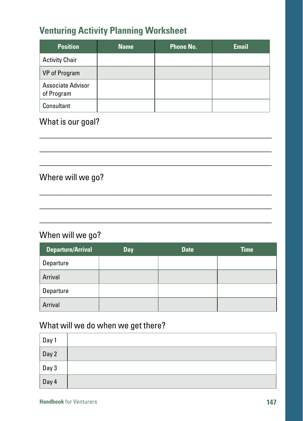# **Venturing Activity Planning Worksheet**

| <b>Position</b>                        | <b>Name</b> | <b>Phone No.</b> | <b>Email</b> |
|----------------------------------------|-------------|------------------|--------------|
| <b>Activity Chair</b>                  |             |                  |              |
| VP of Program                          |             |                  |              |
| <b>Associate Advisor</b><br>of Program |             |                  |              |
| Consultant                             |             |                  |              |

\_\_\_\_\_\_\_\_\_\_\_\_\_\_\_\_\_\_\_\_\_\_\_\_\_\_\_\_\_\_\_\_\_\_\_\_\_\_\_\_\_\_\_\_\_\_\_\_\_\_\_\_\_\_ \_\_\_\_\_\_\_\_\_\_\_\_\_\_\_\_\_\_\_\_\_\_\_\_\_\_\_\_\_\_\_\_\_\_\_\_\_\_\_\_\_\_\_\_\_\_\_\_\_\_\_\_\_\_ \_\_\_\_\_\_\_\_\_\_\_\_\_\_\_\_\_\_\_\_\_\_\_\_\_\_\_\_\_\_\_\_\_\_\_\_\_\_\_\_\_\_\_\_\_\_\_\_\_\_\_\_\_\_

\_\_\_\_\_\_\_\_\_\_\_\_\_\_\_\_\_\_\_\_\_\_\_\_\_\_\_\_\_\_\_\_\_\_\_\_\_\_\_\_\_\_\_\_\_\_\_\_\_\_\_\_\_\_ \_\_\_\_\_\_\_\_\_\_\_\_\_\_\_\_\_\_\_\_\_\_\_\_\_\_\_\_\_\_\_\_\_\_\_\_\_\_\_\_\_\_\_\_\_\_\_\_\_\_\_\_\_\_ \_\_\_\_\_\_\_\_\_\_\_\_\_\_\_\_\_\_\_\_\_\_\_\_\_\_\_\_\_\_\_\_\_\_\_\_\_\_\_\_\_\_\_\_\_\_\_\_\_\_\_\_\_\_

# What is our goal?

## Where will we go?

## When will we go?

| <b>Departure/Arrival</b> | Day | <b>Date</b> | <b>Time</b> |
|--------------------------|-----|-------------|-------------|
| Departure                |     |             |             |
| Arrival                  |     |             |             |
| Departure                |     |             |             |
| Arrival                  |     |             |             |

# What will we do when we get there?

| Day 1 |  |
|-------|--|
| Day 2 |  |
| Day 3 |  |
| Day 4 |  |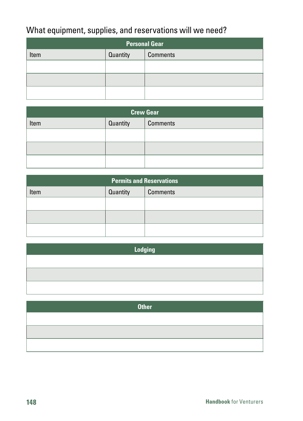# What equipment, supplies, and reservations will we need?

| <b>Personal Gear</b>                |  |  |  |
|-------------------------------------|--|--|--|
| Quantity<br><b>Comments</b><br>Item |  |  |  |
|                                     |  |  |  |
|                                     |  |  |  |
|                                     |  |  |  |

| <b>Crew Gear</b> |          |                 |  |
|------------------|----------|-----------------|--|
| Item             | Quantity | <b>Comments</b> |  |
|                  |          |                 |  |
|                  |          |                 |  |
|                  |          |                 |  |

| <b>Permits and Reservations</b> |          |                 |  |
|---------------------------------|----------|-----------------|--|
| Item                            | Quantity | <b>Comments</b> |  |
|                                 |          |                 |  |
|                                 |          |                 |  |
|                                 |          |                 |  |

| Lodging |  |  |  |
|---------|--|--|--|
|         |  |  |  |
|         |  |  |  |
|         |  |  |  |

| <b>Other</b> |
|--------------|
|              |
|              |
|              |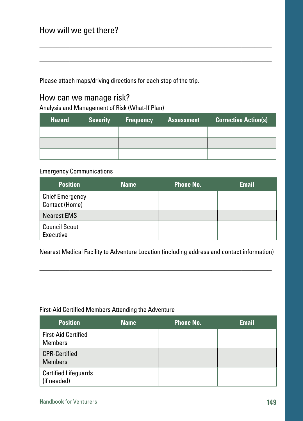## How will we get there?

Please attach maps/driving directions for each stop of the trip.

## How can we manage risk?

Analysis and Management of Risk (What-If Plan)

| <b>Hazard</b> | <b>Severity</b> | <b>Frequency</b> | <b>Assessment</b> | <b>Corrective Action(s)</b> |
|---------------|-----------------|------------------|-------------------|-----------------------------|
|               |                 |                  |                   |                             |
|               |                 |                  |                   |                             |
|               |                 |                  |                   |                             |

\_\_\_\_\_\_\_\_\_\_\_\_\_\_\_\_\_\_\_\_\_\_\_\_\_\_\_\_\_\_\_\_\_\_\_\_\_\_\_\_\_\_\_\_\_\_\_\_\_\_\_\_\_\_ \_\_\_\_\_\_\_\_\_\_\_\_\_\_\_\_\_\_\_\_\_\_\_\_\_\_\_\_\_\_\_\_\_\_\_\_\_\_\_\_\_\_\_\_\_\_\_\_\_\_\_\_\_\_ \_\_\_\_\_\_\_\_\_\_\_\_\_\_\_\_\_\_\_\_\_\_\_\_\_\_\_\_\_\_\_\_\_\_\_\_\_\_\_\_\_\_\_\_\_\_\_\_\_\_\_\_\_\_

#### Emergency Communications

| <b>Position</b>                                 | <b>Name</b> | <b>Phone No.</b> | <b>Email</b> |
|-------------------------------------------------|-------------|------------------|--------------|
| <b>Chief Emergency</b><br><b>Contact (Home)</b> |             |                  |              |
| Nearest EMS                                     |             |                  |              |
| <b>Council Scout</b><br>Executive               |             |                  |              |

Nearest Medical Facility to Adventure Location (including address and contact information)

\_\_\_\_\_\_\_\_\_\_\_\_\_\_\_\_\_\_\_\_\_\_\_\_\_\_\_\_\_\_\_\_\_\_\_\_\_\_\_\_\_\_\_\_\_\_\_\_\_\_\_\_\_\_ \_\_\_\_\_\_\_\_\_\_\_\_\_\_\_\_\_\_\_\_\_\_\_\_\_\_\_\_\_\_\_\_\_\_\_\_\_\_\_\_\_\_\_\_\_\_\_\_\_\_\_\_\_\_ \_\_\_\_\_\_\_\_\_\_\_\_\_\_\_\_\_\_\_\_\_\_\_\_\_\_\_\_\_\_\_\_\_\_\_\_\_\_\_\_\_\_\_\_\_\_\_\_\_\_\_\_\_\_

#### First-Aid Certified Members Attending the Adventure

| <b>Position</b>                            | <b>Name</b> | <b>Phone No.</b> | <b>Email</b> |
|--------------------------------------------|-------------|------------------|--------------|
| <b>First-Aid Certified</b><br>Members      |             |                  |              |
| CPR-Certified<br><b>Members</b>            |             |                  |              |
| <b>Certified Lifeguards</b><br>(if needed) |             |                  |              |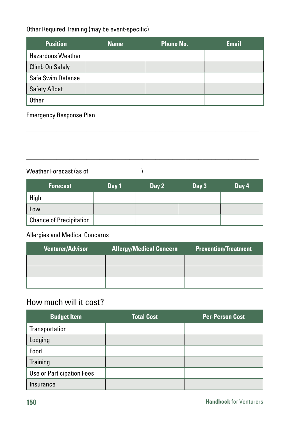### Other Required Training (may be event-specific)

| <b>Position</b>          | <b>Name</b> | <b>Phone No.</b> | <b>Email</b> |
|--------------------------|-------------|------------------|--------------|
| <b>Hazardous Weather</b> |             |                  |              |
| <b>Climb On Safely</b>   |             |                  |              |
| Safe Swim Defense        |             |                  |              |
| <b>Safety Afloat</b>     |             |                  |              |
| Other                    |             |                  |              |

\_\_\_\_\_\_\_\_\_\_\_\_\_\_\_\_\_\_\_\_\_\_\_\_\_\_\_\_\_\_\_\_\_\_\_\_\_\_\_\_\_\_\_\_\_\_\_\_\_\_\_\_\_\_ \_\_\_\_\_\_\_\_\_\_\_\_\_\_\_\_\_\_\_\_\_\_\_\_\_\_\_\_\_\_\_\_\_\_\_\_\_\_\_\_\_\_\_\_\_\_\_\_\_\_\_\_\_\_ \_\_\_\_\_\_\_\_\_\_\_\_\_\_\_\_\_\_\_\_\_\_\_\_\_\_\_\_\_\_\_\_\_\_\_\_\_\_\_\_\_\_\_\_\_\_\_\_\_\_\_\_\_\_

Emergency Response Plan

Weather Forecast (as of \_\_\_\_\_\_\_\_\_\_\_\_\_\_\_\_\_)

| <b>Forecast</b>                | Day 1 | Day 2 | Day 3 | Day 4 |
|--------------------------------|-------|-------|-------|-------|
| High                           |       |       |       |       |
| Low                            |       |       |       |       |
| <b>Chance of Precipitation</b> |       |       |       |       |

### Allergies and Medical Concerns

| <b>Venturer/Advisor</b> | <b>Allergy/Medical Concern</b> | <b>Prevention/Treatment</b> |
|-------------------------|--------------------------------|-----------------------------|
|                         |                                |                             |
|                         |                                |                             |
|                         |                                |                             |

# How much will it cost?

| <b>Budget Item</b>        | <b>Total Cost</b> | <b>Per-Person Cost</b> |
|---------------------------|-------------------|------------------------|
| Transportation            |                   |                        |
| Lodging                   |                   |                        |
| Food                      |                   |                        |
| Training                  |                   |                        |
| Use or Participation Fees |                   |                        |
| Insurance                 |                   |                        |